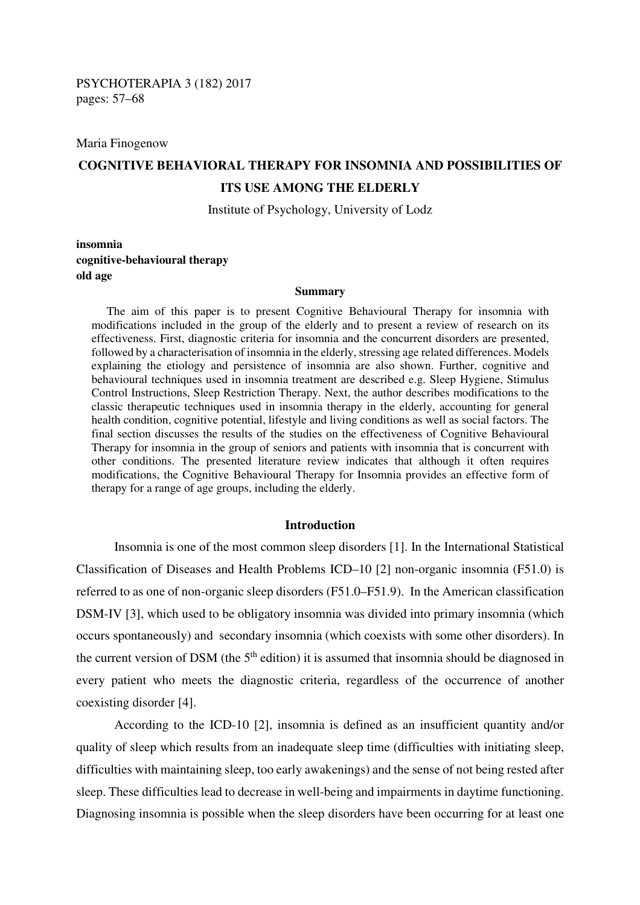Maria Finogenow

# **COGNITIVE BEHAVIORAL THERAPY FOR INSOMNIA AND POSSIBILITIES OF ITS USE AMONG THE ELDERLY**

Institute of Psychology, University of Lodz

**insomnia cognitive-behavioural therapy old age** 

#### **Summary**

The aim of this paper is to present Cognitive Behavioural Therapy for insomnia with modifications included in the group of the elderly and to present a review of research on its effectiveness. First, diagnostic criteria for insomnia and the concurrent disorders are presented, followed by a characterisation of insomnia in the elderly, stressing age related differences. Models explaining the etiology and persistence of insomnia are also shown. Further, cognitive and behavioural techniques used in insomnia treatment are described e.g. Sleep Hygiene, Stimulus Control Instructions, Sleep Restriction Therapy. Next, the author describes modifications to the classic therapeutic techniques used in insomnia therapy in the elderly, accounting for general health condition, cognitive potential, lifestyle and living conditions as well as social factors. The final section discusses the results of the studies on the effectiveness of Cognitive Behavioural Therapy for insomnia in the group of seniors and patients with insomnia that is concurrent with other conditions. The presented literature review indicates that although it often requires modifications, the Cognitive Behavioural Therapy for Insomnia provides an effective form of therapy for a range of age groups, including the elderly.

### **Introduction**

Insomnia is one of the most common sleep disorders [1]. In the International Statistical Classification of Diseases and Health Problems ICD–10 [2] non-organic insomnia (F51.0) is referred to as one of non-organic sleep disorders (F51.0–F51.9). In the American classification DSM-IV [3], which used to be obligatory insomnia was divided into primary insomnia (which occurs spontaneously) and secondary insomnia (which coexists with some other disorders). In the current version of DSM (the  $5<sup>th</sup>$  edition) it is assumed that insomnia should be diagnosed in every patient who meets the diagnostic criteria, regardless of the occurrence of another coexisting disorder [4].

According to the ICD-10 [2], insomnia is defined as an insufficient quantity and/or quality of sleep which results from an inadequate sleep time (difficulties with initiating sleep, difficulties with maintaining sleep, too early awakenings) and the sense of not being rested after sleep. These difficulties lead to decrease in well-being and impairments in daytime functioning. Diagnosing insomnia is possible when the sleep disorders have been occurring for at least one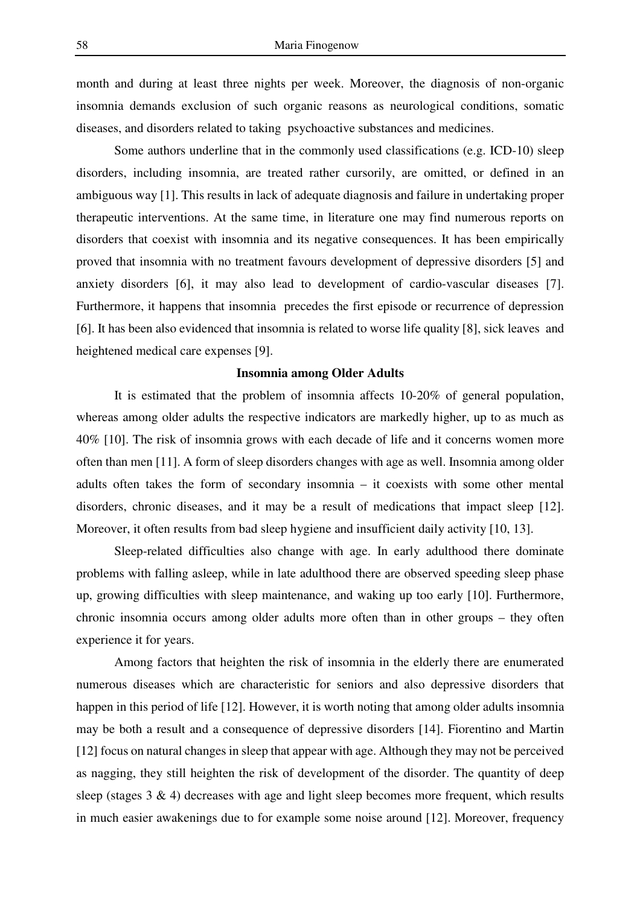month and during at least three nights per week. Moreover, the diagnosis of non-organic insomnia demands exclusion of such organic reasons as neurological conditions, somatic diseases, and disorders related to taking psychoactive substances and medicines.

Some authors underline that in the commonly used classifications (e.g. ICD-10) sleep disorders, including insomnia, are treated rather cursorily, are omitted, or defined in an ambiguous way [1]. This results in lack of adequate diagnosis and failure in undertaking proper therapeutic interventions. At the same time, in literature one may find numerous reports on disorders that coexist with insomnia and its negative consequences. It has been empirically proved that insomnia with no treatment favours development of depressive disorders [5] and anxiety disorders [6], it may also lead to development of cardio-vascular diseases [7]. Furthermore, it happens that insomnia precedes the first episode or recurrence of depression [6]. It has been also evidenced that insomnia is related to worse life quality [8], sick leaves and heightened medical care expenses [9].

#### **Insomnia among Older Adults**

It is estimated that the problem of insomnia affects 10-20% of general population, whereas among older adults the respective indicators are markedly higher, up to as much as 40% [10]. The risk of insomnia grows with each decade of life and it concerns women more often than men [11]. A form of sleep disorders changes with age as well. Insomnia among older adults often takes the form of secondary insomnia – it coexists with some other mental disorders, chronic diseases, and it may be a result of medications that impact sleep [12]. Moreover, it often results from bad sleep hygiene and insufficient daily activity [10, 13].

Sleep-related difficulties also change with age. In early adulthood there dominate problems with falling asleep, while in late adulthood there are observed speeding sleep phase up, growing difficulties with sleep maintenance, and waking up too early [10]. Furthermore, chronic insomnia occurs among older adults more often than in other groups – they often experience it for years.

Among factors that heighten the risk of insomnia in the elderly there are enumerated numerous diseases which are characteristic for seniors and also depressive disorders that happen in this period of life [12]. However, it is worth noting that among older adults insomnia may be both a result and a consequence of depressive disorders [14]. Fiorentino and Martin [12] focus on natural changes in sleep that appear with age. Although they may not be perceived as nagging, they still heighten the risk of development of the disorder. The quantity of deep sleep (stages  $3 \& 4$ ) decreases with age and light sleep becomes more frequent, which results in much easier awakenings due to for example some noise around [12]. Moreover, frequency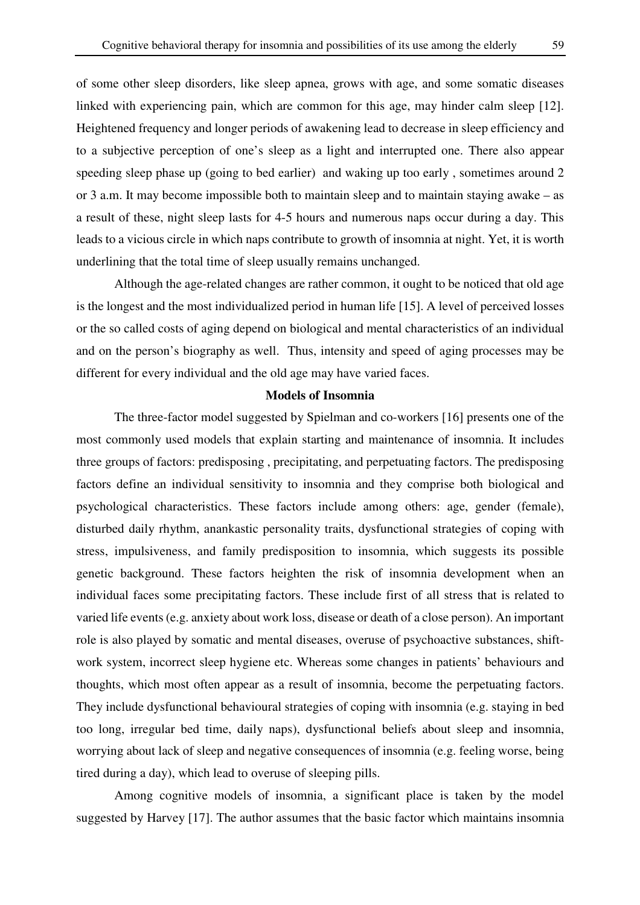of some other sleep disorders, like sleep apnea, grows with age, and some somatic diseases linked with experiencing pain, which are common for this age, may hinder calm sleep [12]. Heightened frequency and longer periods of awakening lead to decrease in sleep efficiency and to a subjective perception of one's sleep as a light and interrupted one. There also appear speeding sleep phase up (going to bed earlier) and waking up too early , sometimes around 2 or 3 a.m. It may become impossible both to maintain sleep and to maintain staying awake – as a result of these, night sleep lasts for 4-5 hours and numerous naps occur during a day. This leads to a vicious circle in which naps contribute to growth of insomnia at night. Yet, it is worth underlining that the total time of sleep usually remains unchanged.

Although the age-related changes are rather common, it ought to be noticed that old age is the longest and the most individualized period in human life [15]. A level of perceived losses or the so called costs of aging depend on biological and mental characteristics of an individual and on the person's biography as well. Thus, intensity and speed of aging processes may be different for every individual and the old age may have varied faces.

## **Models of Insomnia**

The three-factor model suggested by Spielman and co-workers [16] presents one of the most commonly used models that explain starting and maintenance of insomnia. It includes three groups of factors: predisposing , precipitating, and perpetuating factors. The predisposing factors define an individual sensitivity to insomnia and they comprise both biological and psychological characteristics. These factors include among others: age, gender (female), disturbed daily rhythm, anankastic personality traits, dysfunctional strategies of coping with stress, impulsiveness, and family predisposition to insomnia, which suggests its possible genetic background. These factors heighten the risk of insomnia development when an individual faces some precipitating factors. These include first of all stress that is related to varied life events (e.g. anxiety about work loss, disease or death of a close person). An important role is also played by somatic and mental diseases, overuse of psychoactive substances, shiftwork system, incorrect sleep hygiene etc. Whereas some changes in patients' behaviours and thoughts, which most often appear as a result of insomnia, become the perpetuating factors. They include dysfunctional behavioural strategies of coping with insomnia (e.g. staying in bed too long, irregular bed time, daily naps), dysfunctional beliefs about sleep and insomnia, worrying about lack of sleep and negative consequences of insomnia (e.g. feeling worse, being tired during a day), which lead to overuse of sleeping pills.

Among cognitive models of insomnia, a significant place is taken by the model suggested by Harvey [17]. The author assumes that the basic factor which maintains insomnia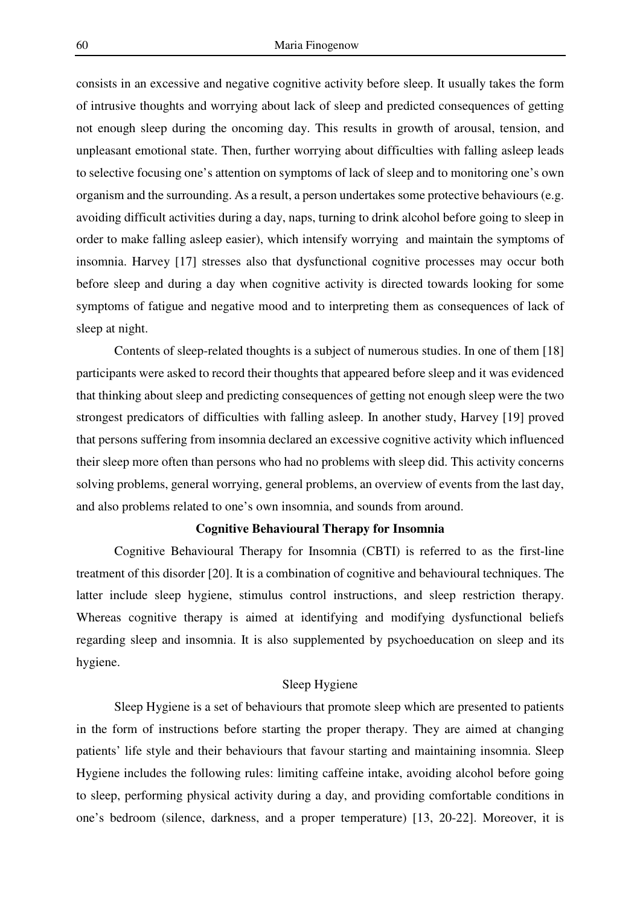consists in an excessive and negative cognitive activity before sleep. It usually takes the form of intrusive thoughts and worrying about lack of sleep and predicted consequences of getting not enough sleep during the oncoming day. This results in growth of arousal, tension, and unpleasant emotional state. Then, further worrying about difficulties with falling asleep leads to selective focusing one's attention on symptoms of lack of sleep and to monitoring one's own organism and the surrounding. As a result, a person undertakes some protective behaviours (e.g. avoiding difficult activities during a day, naps, turning to drink alcohol before going to sleep in order to make falling asleep easier), which intensify worrying and maintain the symptoms of insomnia. Harvey [17] stresses also that dysfunctional cognitive processes may occur both before sleep and during a day when cognitive activity is directed towards looking for some symptoms of fatigue and negative mood and to interpreting them as consequences of lack of sleep at night.

Contents of sleep-related thoughts is a subject of numerous studies. In one of them [18] participants were asked to record their thoughts that appeared before sleep and it was evidenced that thinking about sleep and predicting consequences of getting not enough sleep were the two strongest predicators of difficulties with falling asleep. In another study, Harvey [19] proved that persons suffering from insomnia declared an excessive cognitive activity which influenced their sleep more often than persons who had no problems with sleep did. This activity concerns solving problems, general worrying, general problems, an overview of events from the last day, and also problems related to one's own insomnia, and sounds from around.

## **Cognitive Behavioural Therapy for Insomnia**

Cognitive Behavioural Therapy for Insomnia (CBTI) is referred to as the first-line treatment of this disorder [20]. It is a combination of cognitive and behavioural techniques. The latter include sleep hygiene, stimulus control instructions, and sleep restriction therapy. Whereas cognitive therapy is aimed at identifying and modifying dysfunctional beliefs regarding sleep and insomnia. It is also supplemented by psychoeducation on sleep and its hygiene.

# Sleep Hygiene

Sleep Hygiene is a set of behaviours that promote sleep which are presented to patients in the form of instructions before starting the proper therapy. They are aimed at changing patients' life style and their behaviours that favour starting and maintaining insomnia. Sleep Hygiene includes the following rules: limiting caffeine intake, avoiding alcohol before going to sleep, performing physical activity during a day, and providing comfortable conditions in one's bedroom (silence, darkness, and a proper temperature) [13, 20-22]. Moreover, it is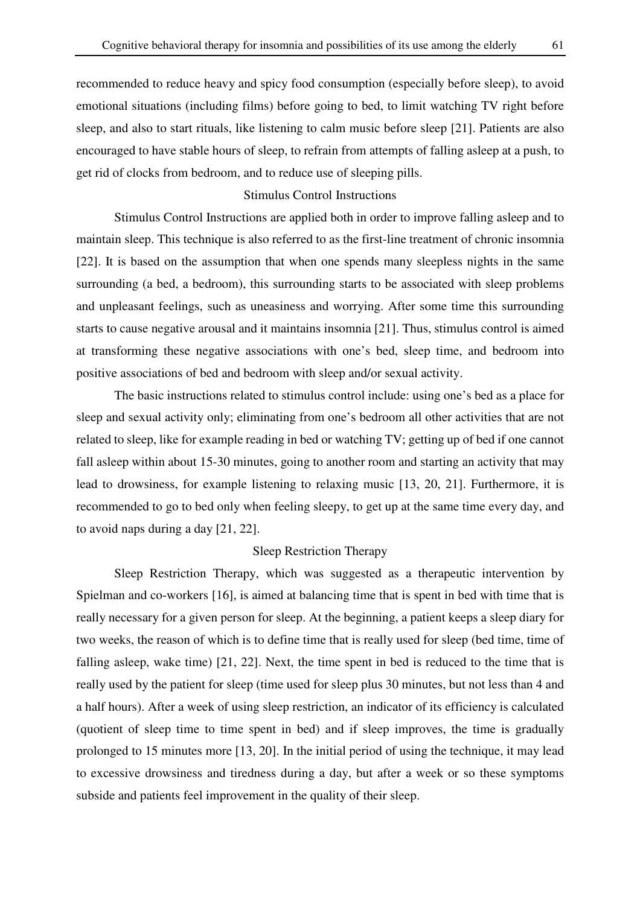recommended to reduce heavy and spicy food consumption (especially before sleep), to avoid emotional situations (including films) before going to bed, to limit watching TV right before sleep, and also to start rituals, like listening to calm music before sleep [21]. Patients are also encouraged to have stable hours of sleep, to refrain from attempts of falling asleep at a push, to get rid of clocks from bedroom, and to reduce use of sleeping pills.

# Stimulus Control Instructions

Stimulus Control Instructions are applied both in order to improve falling asleep and to maintain sleep. This technique is also referred to as the first-line treatment of chronic insomnia [22]. It is based on the assumption that when one spends many sleepless nights in the same surrounding (a bed, a bedroom), this surrounding starts to be associated with sleep problems and unpleasant feelings, such as uneasiness and worrying. After some time this surrounding starts to cause negative arousal and it maintains insomnia [21]. Thus, stimulus control is aimed at transforming these negative associations with one's bed, sleep time, and bedroom into positive associations of bed and bedroom with sleep and/or sexual activity.

The basic instructions related to stimulus control include: using one's bed as a place for sleep and sexual activity only; eliminating from one's bedroom all other activities that are not related to sleep, like for example reading in bed or watching TV; getting up of bed if one cannot fall asleep within about 15-30 minutes, going to another room and starting an activity that may lead to drowsiness, for example listening to relaxing music [13, 20, 21]. Furthermore, it is recommended to go to bed only when feeling sleepy, to get up at the same time every day, and to avoid naps during a day [21, 22].

## Sleep Restriction Therapy

Sleep Restriction Therapy, which was suggested as a therapeutic intervention by Spielman and co-workers [16], is aimed at balancing time that is spent in bed with time that is really necessary for a given person for sleep. At the beginning, a patient keeps a sleep diary for two weeks, the reason of which is to define time that is really used for sleep (bed time, time of falling asleep, wake time) [21, 22]. Next, the time spent in bed is reduced to the time that is really used by the patient for sleep (time used for sleep plus 30 minutes, but not less than 4 and a half hours). After a week of using sleep restriction, an indicator of its efficiency is calculated (quotient of sleep time to time spent in bed) and if sleep improves, the time is gradually prolonged to 15 minutes more [13, 20]. In the initial period of using the technique, it may lead to excessive drowsiness and tiredness during a day, but after a week or so these symptoms subside and patients feel improvement in the quality of their sleep.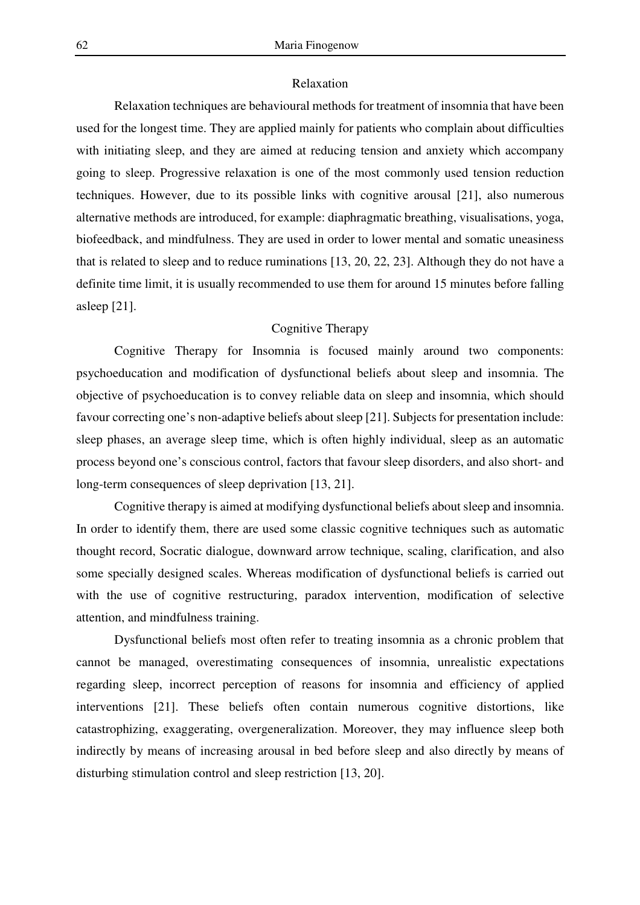## Relaxation

Relaxation techniques are behavioural methods for treatment of insomnia that have been used for the longest time. They are applied mainly for patients who complain about difficulties with initiating sleep, and they are aimed at reducing tension and anxiety which accompany going to sleep. Progressive relaxation is one of the most commonly used tension reduction techniques. However, due to its possible links with cognitive arousal [21], also numerous alternative methods are introduced, for example: diaphragmatic breathing, visualisations, yoga, biofeedback, and mindfulness. They are used in order to lower mental and somatic uneasiness that is related to sleep and to reduce ruminations [13, 20, 22, 23]. Although they do not have a definite time limit, it is usually recommended to use them for around 15 minutes before falling asleep [21].

## Cognitive Therapy

Cognitive Therapy for Insomnia is focused mainly around two components: psychoeducation and modification of dysfunctional beliefs about sleep and insomnia. The objective of psychoeducation is to convey reliable data on sleep and insomnia, which should favour correcting one's non-adaptive beliefs about sleep [21]. Subjects for presentation include: sleep phases, an average sleep time, which is often highly individual, sleep as an automatic process beyond one's conscious control, factors that favour sleep disorders, and also short- and long-term consequences of sleep deprivation [13, 21].

Cognitive therapy is aimed at modifying dysfunctional beliefs about sleep and insomnia. In order to identify them, there are used some classic cognitive techniques such as automatic thought record, Socratic dialogue, downward arrow technique, scaling, clarification, and also some specially designed scales. Whereas modification of dysfunctional beliefs is carried out with the use of cognitive restructuring, paradox intervention, modification of selective attention, and mindfulness training.

Dysfunctional beliefs most often refer to treating insomnia as a chronic problem that cannot be managed, overestimating consequences of insomnia, unrealistic expectations regarding sleep, incorrect perception of reasons for insomnia and efficiency of applied interventions [21]. These beliefs often contain numerous cognitive distortions, like catastrophizing, exaggerating, overgeneralization. Moreover, they may influence sleep both indirectly by means of increasing arousal in bed before sleep and also directly by means of disturbing stimulation control and sleep restriction [13, 20].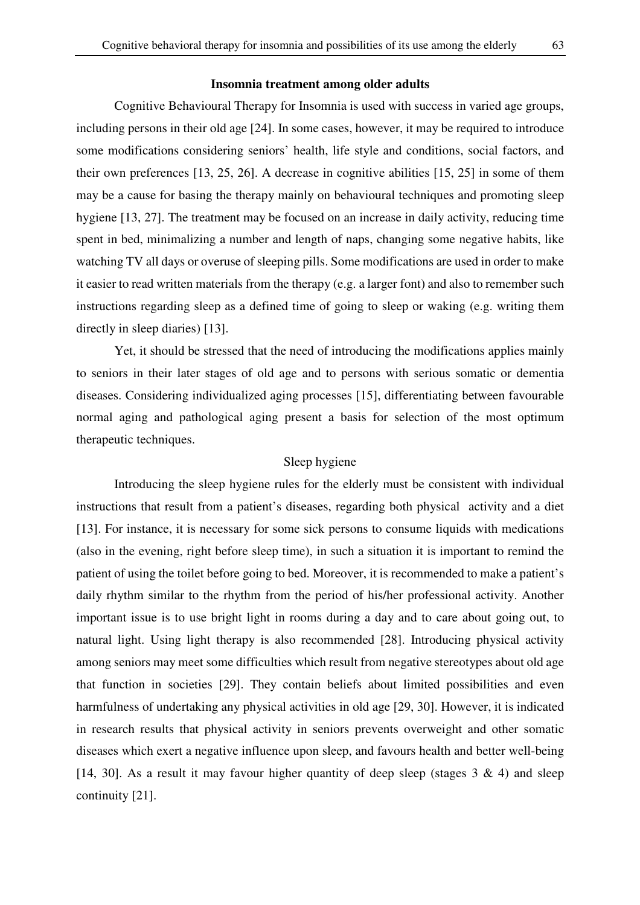Cognitive Behavioural Therapy for Insomnia is used with success in varied age groups, including persons in their old age [24]. In some cases, however, it may be required to introduce some modifications considering seniors' health, life style and conditions, social factors, and their own preferences [13, 25, 26]. A decrease in cognitive abilities [15, 25] in some of them may be a cause for basing the therapy mainly on behavioural techniques and promoting sleep hygiene [13, 27]. The treatment may be focused on an increase in daily activity, reducing time spent in bed, minimalizing a number and length of naps, changing some negative habits, like watching TV all days or overuse of sleeping pills. Some modifications are used in order to make it easier to read written materials from the therapy (e.g. a larger font) and also to remember such instructions regarding sleep as a defined time of going to sleep or waking (e.g. writing them directly in sleep diaries) [13].

Yet, it should be stressed that the need of introducing the modifications applies mainly to seniors in their later stages of old age and to persons with serious somatic or dementia diseases. Considering individualized aging processes [15], differentiating between favourable normal aging and pathological aging present a basis for selection of the most optimum therapeutic techniques.

#### Sleep hygiene

Introducing the sleep hygiene rules for the elderly must be consistent with individual instructions that result from a patient's diseases, regarding both physical activity and a diet [13]. For instance, it is necessary for some sick persons to consume liquids with medications (also in the evening, right before sleep time), in such a situation it is important to remind the patient of using the toilet before going to bed. Moreover, it is recommended to make a patient's daily rhythm similar to the rhythm from the period of his/her professional activity. Another important issue is to use bright light in rooms during a day and to care about going out, to natural light. Using light therapy is also recommended [28]. Introducing physical activity among seniors may meet some difficulties which result from negative stereotypes about old age that function in societies [29]. They contain beliefs about limited possibilities and even harmfulness of undertaking any physical activities in old age [29, 30]. However, it is indicated in research results that physical activity in seniors prevents overweight and other somatic diseases which exert a negative influence upon sleep, and favours health and better well-being [14, 30]. As a result it may favour higher quantity of deep sleep (stages  $3 \& 4$ ) and sleep continuity [21].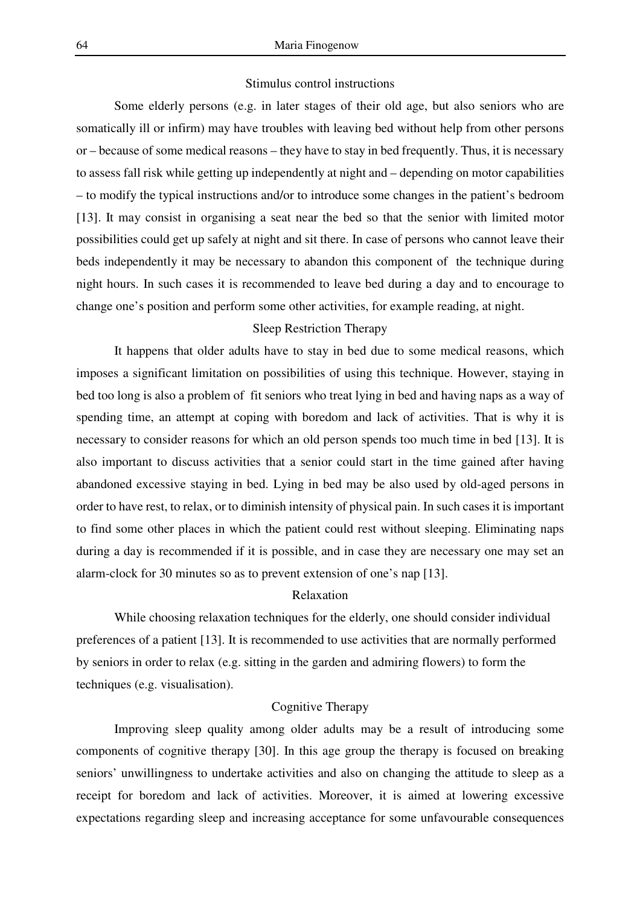#### Stimulus control instructions

Some elderly persons (e.g. in later stages of their old age, but also seniors who are somatically ill or infirm) may have troubles with leaving bed without help from other persons or – because of some medical reasons – they have to stay in bed frequently. Thus, it is necessary to assess fall risk while getting up independently at night and – depending on motor capabilities – to modify the typical instructions and/or to introduce some changes in the patient's bedroom [13]. It may consist in organising a seat near the bed so that the senior with limited motor possibilities could get up safely at night and sit there. In case of persons who cannot leave their beds independently it may be necessary to abandon this component of the technique during night hours. In such cases it is recommended to leave bed during a day and to encourage to change one's position and perform some other activities, for example reading, at night.

#### Sleep Restriction Therapy

It happens that older adults have to stay in bed due to some medical reasons, which imposes a significant limitation on possibilities of using this technique. However, staying in bed too long is also a problem of fit seniors who treat lying in bed and having naps as a way of spending time, an attempt at coping with boredom and lack of activities. That is why it is necessary to consider reasons for which an old person spends too much time in bed [13]. It is also important to discuss activities that a senior could start in the time gained after having abandoned excessive staying in bed. Lying in bed may be also used by old-aged persons in order to have rest, to relax, or to diminish intensity of physical pain. In such cases it is important to find some other places in which the patient could rest without sleeping. Eliminating naps during a day is recommended if it is possible, and in case they are necessary one may set an alarm-clock for 30 minutes so as to prevent extension of one's nap [13].

# Relaxation

While choosing relaxation techniques for the elderly, one should consider individual preferences of a patient [13]. It is recommended to use activities that are normally performed by seniors in order to relax (e.g. sitting in the garden and admiring flowers) to form the techniques (e.g. visualisation).

# Cognitive Therapy

Improving sleep quality among older adults may be a result of introducing some components of cognitive therapy [30]. In this age group the therapy is focused on breaking seniors' unwillingness to undertake activities and also on changing the attitude to sleep as a receipt for boredom and lack of activities. Moreover, it is aimed at lowering excessive expectations regarding sleep and increasing acceptance for some unfavourable consequences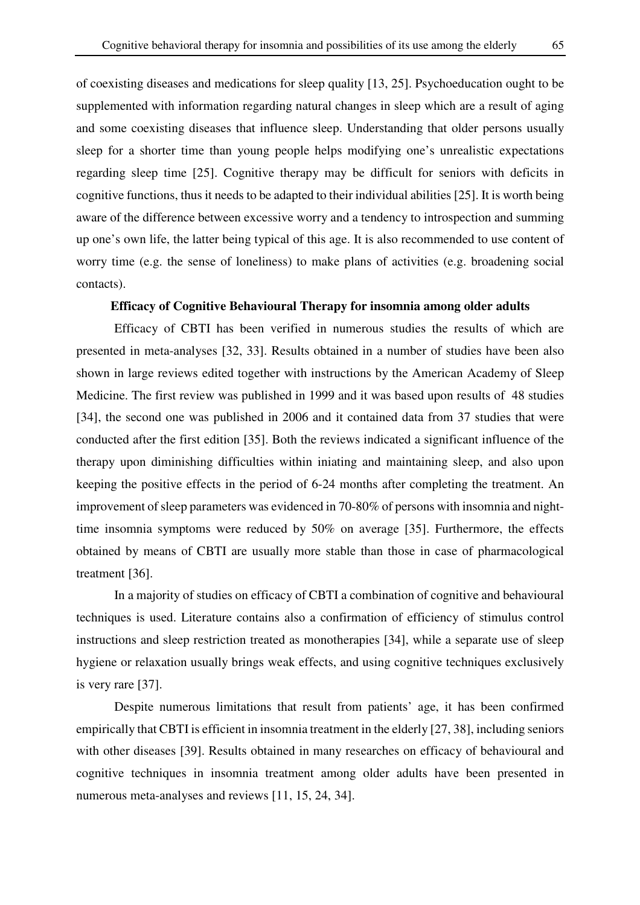of coexisting diseases and medications for sleep quality [13, 25]. Psychoeducation ought to be supplemented with information regarding natural changes in sleep which are a result of aging and some coexisting diseases that influence sleep. Understanding that older persons usually sleep for a shorter time than young people helps modifying one's unrealistic expectations regarding sleep time [25]. Cognitive therapy may be difficult for seniors with deficits in cognitive functions, thus it needs to be adapted to their individual abilities [25]. It is worth being aware of the difference between excessive worry and a tendency to introspection and summing up one's own life, the latter being typical of this age. It is also recommended to use content of worry time (e.g. the sense of loneliness) to make plans of activities (e.g. broadening social contacts).

## **Efficacy of Cognitive Behavioural Therapy for insomnia among older adults**

Efficacy of CBTI has been verified in numerous studies the results of which are presented in meta-analyses [32, 33]. Results obtained in a number of studies have been also shown in large reviews edited together with instructions by the American Academy of Sleep Medicine. The first review was published in 1999 and it was based upon results of 48 studies [34], the second one was published in 2006 and it contained data from 37 studies that were conducted after the first edition [35]. Both the reviews indicated a significant influence of the therapy upon diminishing difficulties within iniating and maintaining sleep, and also upon keeping the positive effects in the period of 6-24 months after completing the treatment. An improvement of sleep parameters was evidenced in 70-80% of persons with insomnia and nighttime insomnia symptoms were reduced by 50% on average [35]. Furthermore, the effects obtained by means of CBTI are usually more stable than those in case of pharmacological treatment [36].

In a majority of studies on efficacy of CBTI a combination of cognitive and behavioural techniques is used. Literature contains also a confirmation of efficiency of stimulus control instructions and sleep restriction treated as monotherapies [34], while a separate use of sleep hygiene or relaxation usually brings weak effects, and using cognitive techniques exclusively is very rare [37].

Despite numerous limitations that result from patients' age, it has been confirmed empirically that CBTI is efficient in insomnia treatment in the elderly [27, 38], including seniors with other diseases [39]. Results obtained in many researches on efficacy of behavioural and cognitive techniques in insomnia treatment among older adults have been presented in numerous meta-analyses and reviews [11, 15, 24, 34].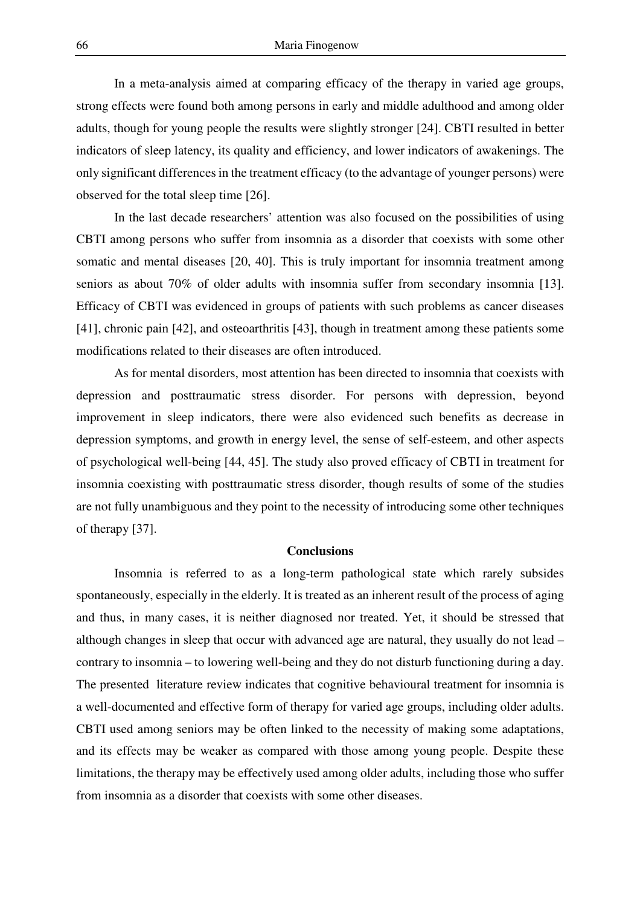In a meta-analysis aimed at comparing efficacy of the therapy in varied age groups, strong effects were found both among persons in early and middle adulthood and among older adults, though for young people the results were slightly stronger [24]. CBTI resulted in better indicators of sleep latency, its quality and efficiency, and lower indicators of awakenings. The only significant differences in the treatment efficacy (to the advantage of younger persons) were observed for the total sleep time [26].

In the last decade researchers' attention was also focused on the possibilities of using CBTI among persons who suffer from insomnia as a disorder that coexists with some other somatic and mental diseases [20, 40]. This is truly important for insomnia treatment among seniors as about 70% of older adults with insomnia suffer from secondary insomnia [13]. Efficacy of CBTI was evidenced in groups of patients with such problems as cancer diseases [41], chronic pain [42], and osteoarthritis [43], though in treatment among these patients some modifications related to their diseases are often introduced.

As for mental disorders, most attention has been directed to insomnia that coexists with depression and posttraumatic stress disorder. For persons with depression, beyond improvement in sleep indicators, there were also evidenced such benefits as decrease in depression symptoms, and growth in energy level, the sense of self-esteem, and other aspects of psychological well-being [44, 45]. The study also proved efficacy of CBTI in treatment for insomnia coexisting with posttraumatic stress disorder, though results of some of the studies are not fully unambiguous and they point to the necessity of introducing some other techniques of therapy [37].

# **Conclusions**

Insomnia is referred to as a long-term pathological state which rarely subsides spontaneously, especially in the elderly. It is treated as an inherent result of the process of aging and thus, in many cases, it is neither diagnosed nor treated. Yet, it should be stressed that although changes in sleep that occur with advanced age are natural, they usually do not lead – contrary to insomnia – to lowering well-being and they do not disturb functioning during a day. The presented literature review indicates that cognitive behavioural treatment for insomnia is a well-documented and effective form of therapy for varied age groups, including older adults. CBTI used among seniors may be often linked to the necessity of making some adaptations, and its effects may be weaker as compared with those among young people. Despite these limitations, the therapy may be effectively used among older adults, including those who suffer from insomnia as a disorder that coexists with some other diseases.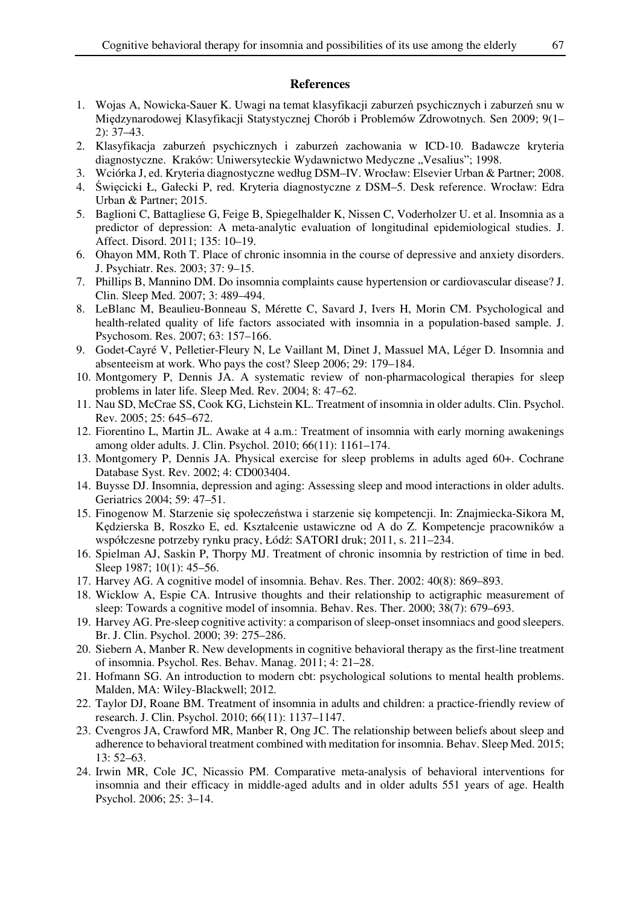# **References**

- 1. Wojas A, Nowicka-Sauer K. Uwagi na temat klasyfikacji zaburzeń psychicznych i zaburzeń snu w Międzynarodowej Klasyfikacji Statystycznej Chorób i Problemów Zdrowotnych. Sen 2009; 9(1– 2): 37–43.
- 2. Klasyfikacja zaburzeń psychicznych i zaburzeń zachowania w ICD-10. Badawcze kryteria diagnostyczne. Kraków: Uniwersyteckie Wydawnictwo Medyczne "Vesalius"; 1998.
- 3. Wciórka J, ed. Kryteria diagnostyczne według DSM–IV. Wrocław: Elsevier Urban & Partner; 2008.
- 4. Święcicki Ł, Gałecki P, red. Kryteria diagnostyczne z DSM–5. Desk reference. Wrocław: Edra Urban & Partner; 2015.
- 5. Baglioni C, Battagliese G, Feige B, Spiegelhalder K, Nissen C, Voderholzer U. et al. Insomnia as a predictor of depression: A meta-analytic evaluation of longitudinal epidemiological studies. J. Affect. Disord. 2011; 135: 10–19.
- 6. Ohayon MM, Roth T. Place of chronic insomnia in the course of depressive and anxiety disorders. J. Psychiatr. Res. 2003; 37: 9–15.
- 7. Phillips B, Mannino DM. Do insomnia complaints cause hypertension or cardiovascular disease? J. Clin. Sleep Med. 2007; 3: 489–494.
- 8. LeBlanc M, Beaulieu-Bonneau S, Mérette C, Savard J, Ivers H, Morin CM. Psychological and health-related quality of life factors associated with insomnia in a population-based sample. J. Psychosom. Res. 2007; 63: 157–166.
- 9. Godet-Cayré V, Pelletier-Fleury N, Le Vaillant M, Dinet J, Massuel MA, Léger D. Insomnia and absenteeism at work. Who pays the cost? Sleep 2006; 29: 179–184.
- 10. Montgomery P, Dennis JA. A systematic review of non-pharmacological therapies for sleep problems in later life. Sleep Med. Rev. 2004; 8: 47–62.
- 11. Nau SD, McCrae SS, Cook KG, Lichstein KL. Treatment of insomnia in older adults. Clin. Psychol. Rev. 2005; 25: 645–672.
- 12. Fiorentino L, Martin JL. Awake at 4 a.m.: Treatment of insomnia with early morning awakenings among older adults. J. Clin. Psychol. 2010; 66(11): 1161–174.
- 13. Montgomery P, Dennis JA. Physical exercise for sleep problems in adults aged 60+. Cochrane Database Syst. Rev. 2002; 4: CD003404.
- 14. Buysse DJ. Insomnia, depression and aging: Assessing sleep and mood interactions in older adults. Geriatrics 2004; 59: 47–51.
- 15. Finogenow M. Starzenie się społeczeństwa i starzenie się kompetencji. In: Znajmiecka-Sikora M, Kędzierska B, Roszko E, ed. Kształcenie ustawiczne od A do Z. Kompetencje pracowników a współczesne potrzeby rynku pracy, Łódź: SATORI druk; 2011, s. 211–234.
- 16. Spielman AJ, Saskin P, Thorpy MJ. Treatment of chronic insomnia by restriction of time in bed. Sleep 1987; 10(1): 45–56.
- 17. Harvey AG. A cognitive model of insomnia. Behav. Res. Ther. 2002: 40(8): 869–893.
- 18. Wicklow A, Espie CA. Intrusive thoughts and their relationship to actigraphic measurement of sleep: Towards a cognitive model of insomnia. Behav. Res. Ther. 2000; 38(7): 679–693.
- 19. Harvey AG. Pre-sleep cognitive activity: a comparison of sleep-onset insomniacs and good sleepers. Br. J. Clin. Psychol. 2000; 39: 275–286.
- 20. Siebern A, Manber R. New developments in cognitive behavioral therapy as the first-line treatment of insomnia. Psychol. Res. Behav. Manag. 2011; 4: 21–28.
- 21. Hofmann SG. An introduction to modern cbt: psychological solutions to mental health problems. Malden, MA: Wiley-Blackwell; 2012.
- 22. Taylor DJ, Roane BM. Treatment of insomnia in adults and children: a practice-friendly review of research. J. Clin. Psychol. 2010; 66(11): 1137–1147.
- 23. Cvengros JA, Crawford MR, Manber R, Ong JC. The relationship between beliefs about sleep and adherence to behavioral treatment combined with meditation for insomnia. Behav. Sleep Med. 2015; 13: 52–63.
- 24. Irwin MR, Cole JC, Nicassio PM. Comparative meta-analysis of behavioral interventions for insomnia and their efficacy in middle-aged adults and in older adults 551 years of age. Health Psychol. 2006; 25: 3–14.